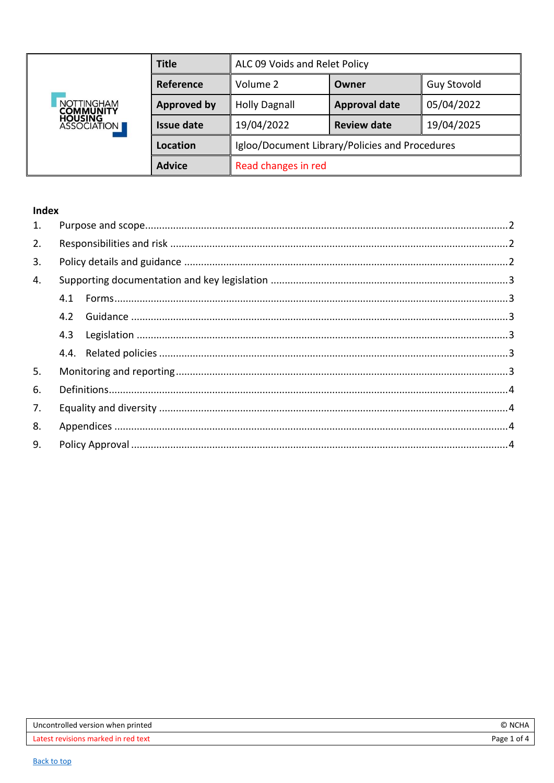<span id="page-0-0"></span>

| <b>NOTTINGHAM</b><br><b>COMMUNITY</b><br><b>HOUSING<br/>ASSOCIATION</b> | <b>Title</b>       | ALC 09 Voids and Relet Policy                  |                      |                    |
|-------------------------------------------------------------------------|--------------------|------------------------------------------------|----------------------|--------------------|
|                                                                         | Reference          | Volume 2                                       | Owner                | <b>Guy Stovold</b> |
|                                                                         | <b>Approved by</b> | <b>Holly Dagnall</b>                           | <b>Approval date</b> | 05/04/2022         |
|                                                                         | <b>Issue date</b>  | 19/04/2022                                     | <b>Review date</b>   | 19/04/2025         |
|                                                                         | Location           | Igloo/Document Library/Policies and Procedures |                      |                    |
|                                                                         | <b>Advice</b>      | Read changes in red                            |                      |                    |

## Index

| 1. |     |  |
|----|-----|--|
| 2. |     |  |
| 3. |     |  |
| 4. |     |  |
|    | 4.1 |  |
|    | 4.2 |  |
|    | 4.3 |  |
|    |     |  |
| 5. |     |  |
| 6. |     |  |
| 7. |     |  |
| 8. |     |  |
| 9. |     |  |
|    |     |  |

| Uncontrolled version when printed   | R.<br>. NCL  |
|-------------------------------------|--------------|
| Latest revisions marked in red text | Page 1<br>0t |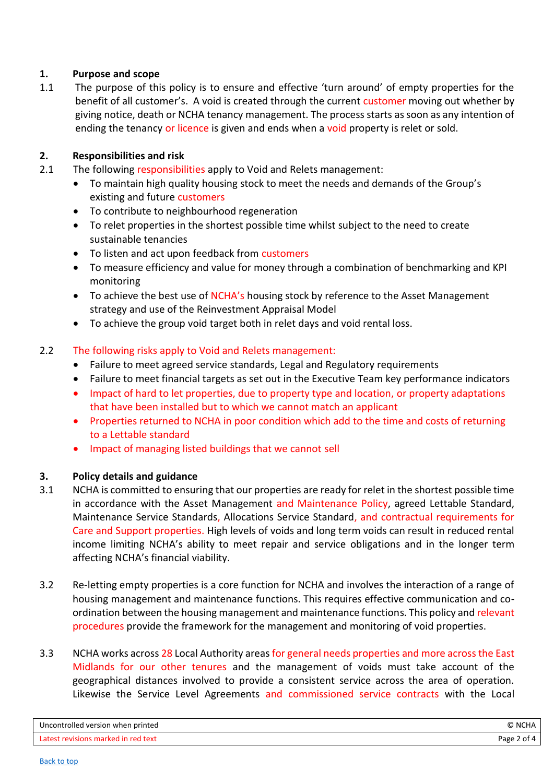## <span id="page-1-0"></span>**1. Purpose and scope**

1.1 The purpose of this policy is to ensure and effective 'turn around' of empty properties for the benefit of all customer's. A void is created through the current customer moving out whether by giving notice, death or NCHA tenancy management. The process starts as soon as any intention of ending the tenancy or licence is given and ends when a void property is relet or sold.

## <span id="page-1-1"></span>**2. Responsibilities and risk**

- 2.1 The following responsibilities apply to Void and Relets management:
	- To maintain high quality housing stock to meet the needs and demands of the Group's existing and future customers
	- To contribute to neighbourhood regeneration
	- To relet properties in the shortest possible time whilst subject to the need to create sustainable tenancies
	- To listen and act upon feedback from customers
	- To measure efficiency and value for money through a combination of benchmarking and KPI monitoring
	- To achieve the best use of NCHA's housing stock by reference to the Asset Management strategy and use of the Reinvestment Appraisal Model
	- To achieve the group void target both in relet days and void rental loss.

## 2.2 The following risks apply to Void and Relets management:

- Failure to meet agreed service standards, Legal and Regulatory requirements
- Failure to meet financial targets as set out in the Executive Team key performance indicators
- Impact of hard to let properties, due to property type and location, or property adaptations that have been installed but to which we cannot match an applicant
- Properties returned to NCHA in poor condition which add to the time and costs of returning to a Lettable standard
- Impact of managing listed buildings that we cannot sell

# <span id="page-1-2"></span>**3. Policy details and guidance**

- 3.1 NCHA is committed to ensuring that our properties are ready for relet in the shortest possible time in accordance with the Asset Management and Maintenance Policy, agreed Lettable Standard, Maintenance Service Standards, Allocations Service Standard, and contractual requirements for Care and Support properties. High levels of voids and long term voids can result in reduced rental income limiting NCHA's ability to meet repair and service obligations and in the longer term affecting NCHA's financial viability.
- 3.2 Re-letting empty properties is a core function for NCHA and involves the interaction of a range of housing management and maintenance functions. This requires effective communication and coordination between the housing management and maintenance functions. This policy and relevant procedures provide the framework for the management and monitoring of void properties.
- 3.3 NCHA works across 28 Local Authority areas for general needs properties and more across the East Midlands for our other tenures and the management of voids must take account of the geographical distances involved to provide a consistent service across the area of operation. Likewise the Service Level Agreements and commissioned service contracts with the Local

| Uncontrolled version when printed   | © NCHA      |
|-------------------------------------|-------------|
| Latest revisions marked in red text | Page 2 of 4 |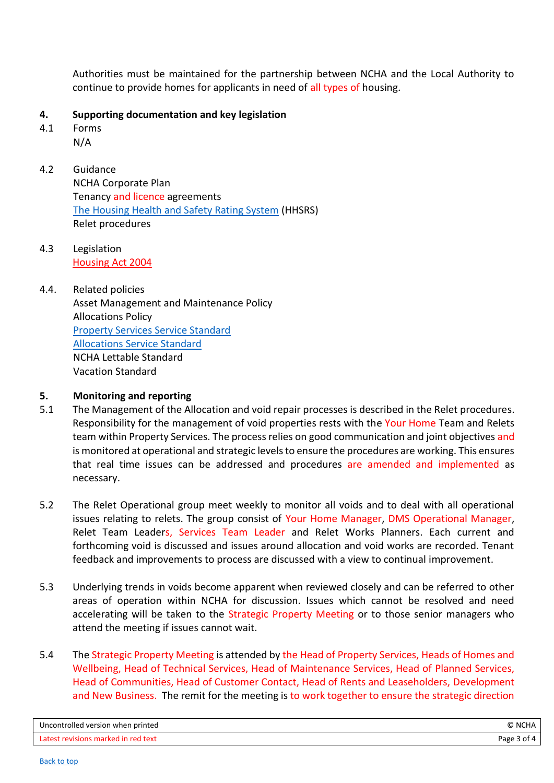Authorities must be maintained for the partnership between NCHA and the Local Authority to continue to provide homes for applicants in need of all types of housing.

## <span id="page-2-0"></span>**4. Supporting documentation and key legislation**

- <span id="page-2-1"></span>4.1 Forms
	- N/A
- <span id="page-2-2"></span>4.2 Guidance NCHA Corporate Plan Tenancy and licence agreements [The Housing Health and Safety Rating System](https://www.gov.uk/government/publications/housing-health-and-safety-rating-system-guidance-for-landlords-and-property-related-professionals) (HHSRS) Relet procedures
- <span id="page-2-3"></span>4.3 Legislation [Housing Act 2004](https://www.legislation.gov.uk/ukpga/2004/34/contents)

# <span id="page-2-4"></span>4.4. Related policies Asset Management and Maintenance Policy Allocations Policy [Property Services Service Standard](https://intranet.ncha.org.uk/Interact/Pages/Section/ContentListing.aspx?subsection=2273) [Allocations Service Standard](https://intranet.ncha.org.uk/Interact/Pages/Section/ContentListing.aspx?subsection=2273) NCHA Lettable Standard Vacation Standard

## <span id="page-2-5"></span>**5. Monitoring and reporting**

- 5.1 The Management of the Allocation and void repair processes is described in the Relet procedures. Responsibility for the management of void properties rests with the Your Home Team and Relets team within Property Services. The process relies on good communication and joint objectives and is monitored at operational and strategic levels to ensure the procedures are working. This ensures that real time issues can be addressed and procedures are amended and implemented as necessary.
- 5.2 The Relet Operational group meet weekly to monitor all voids and to deal with all operational issues relating to relets. The group consist of Your Home Manager, DMS Operational Manager, Relet Team Leaders, Services Team Leader and Relet Works Planners. Each current and forthcoming void is discussed and issues around allocation and void works are recorded. Tenant feedback and improvements to process are discussed with a view to continual improvement.
- 5.3 Underlying trends in voids become apparent when reviewed closely and can be referred to other areas of operation within NCHA for discussion. Issues which cannot be resolved and need accelerating will be taken to the Strategic Property Meeting or to those senior managers who attend the meeting if issues cannot wait.
- 5.4 The Strategic Property Meeting is attended by the Head of Property Services, Heads of Homes and Wellbeing, Head of Technical Services, Head of Maintenance Services, Head of Planned Services, Head of Communities, Head of Customer Contact, Head of Rents and Leaseholders, Development and New Business. The remit for the meeting is to work together to ensure the strategic direction

| Uncontrolled version when printed   | © NCHA      |
|-------------------------------------|-------------|
| Latest revisions marked in red text | Page 3 of 4 |